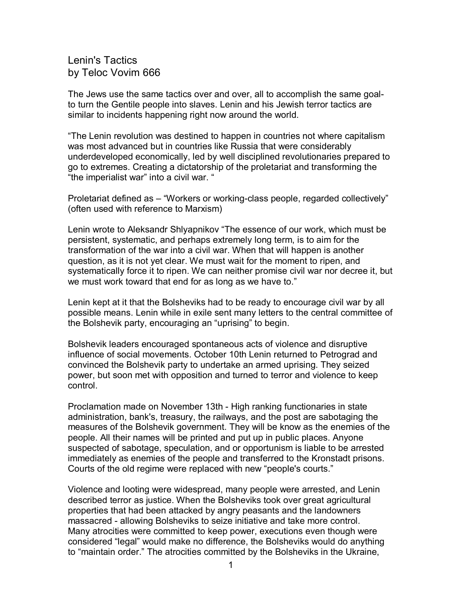Lenin's Tactics by Teloc Vovim 666

The Jews use the same tactics over and over, all to accomplish the same goalto turn the Gentile people into slaves. Lenin and his Jewish terror tactics are similar to incidents happening right now around the world.

"The Lenin revolution was destined to happen in countries not where capitalism was most advanced but in countries like Russia that were considerably underdeveloped economically, led by well disciplined revolutionaries prepared to go to extremes. Creating a dictatorship of the proletariat and transforming the "the imperialist war" into a civil war. "

Proletariat defined as – "Workers or working-class people, regarded collectively" (often used with reference to Marxism)

Lenin wrote to Aleksandr Shlyapnikov "The essence of our work, which must be persistent, systematic, and perhaps extremely long term, is to aim for the transformation of the war into a civil war. When that will happen is another question, as it is not yet clear. We must wait for the moment to ripen, and systematically force it to ripen. We can neither promise civil war nor decree it, but we must work toward that end for as long as we have to."

Lenin kept at it that the Bolsheviks had to be ready to encourage civil war by all possible means. Lenin while in exile sent many letters to the central committee of the Bolshevik party, encouraging an "uprising" to begin.

Bolshevik leaders encouraged spontaneous acts of violence and disruptive influence of social movements. October 10th Lenin returned to Petrograd and convinced the Bolshevik party to undertake an armed uprising. They seized power, but soon met with opposition and turned to terror and violence to keep control.

Proclamation made on November 13th - High ranking functionaries in state administration, bank's, treasury, the railways, and the post are sabotaging the measures of the Bolshevik government. They will be know as the enemies of the people. All their names will be printed and put up in public places. Anyone suspected of sabotage, speculation, and or opportunism is liable to be arrested immediately as enemies of the people and transferred to the Kronstadt prisons. Courts of the old regime were replaced with new "people's courts."

Violence and looting were widespread, many people were arrested, and Lenin described terror as justice. When the Bolsheviks took over great agricultural properties that had been attacked by angry peasants and the landowners massacred - allowing Bolsheviks to seize initiative and take more control. Many atrocities were committed to keep power, executions even though were considered "legal" would make no difference, the Bolsheviks would do anything to "maintain order." The atrocities committed by the Bolsheviks in the Ukraine,